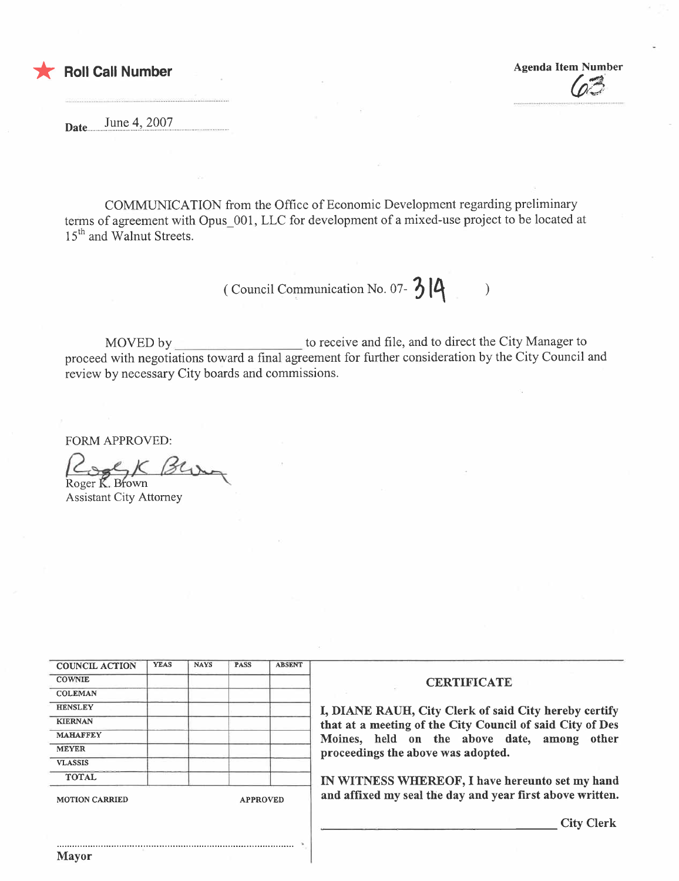

**Agenda Item Number** 

June 4, 2007 Date...

COMMUNICATION from the Office of Economic Development regarding preliminary terms of agreement with Opus 001, LLC for development of a mixed-use project to be located at 15<sup>th</sup> and Walnut Streets.

> (Council Communication No. 07- $314$  $\mathcal{L}$

to receive and file, and to direct the City Manager to MOVED by proceed with negotiations toward a final agreement for further consideration by the City Council and review by necessary City boards and commissions.

**FORM APPROVED:** 

Roger K. Brown

**Assistant City Attorney** 

| <b>COUNCIL ACTION</b> | <b>YEAS</b> | <b>NAYS</b> | <b>PASS</b> | <b>ABSENT</b> |
|-----------------------|-------------|-------------|-------------|---------------|
| <b>COWNIE</b>         |             |             |             |               |
| <b>COLEMAN</b>        |             |             |             |               |
| <b>HENSLEY</b>        |             |             |             |               |
| <b>KIERNAN</b>        |             |             |             |               |
| <b>MAHAFFEY</b>       |             |             |             |               |
| <b>MEYER</b>          |             |             |             |               |
| <b>VLASSIS</b>        |             |             |             |               |
| <b>TOTAL</b>          |             |             |             |               |

Mayor

## **CERTIFICATE**

I, DIANE RAUH, City Clerk of said City hereby certify that at a meeting of the City Council of said City of Des Moines, held on the above date, among other proceedings the above was adopted.

IN WITNESS WHEREOF, I have hereunto set my hand and affixed my seal the day and year first above written.

**City Clerk**